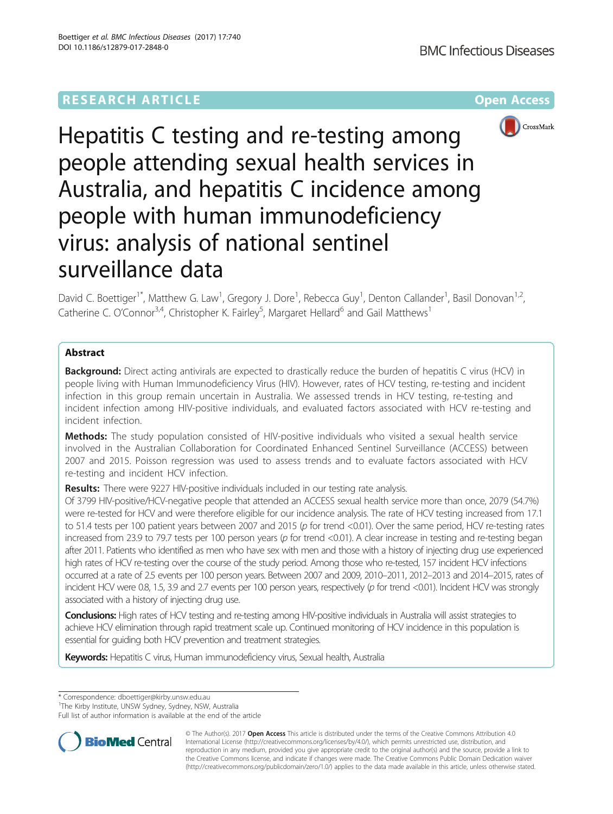# **RESEARCH ARTICLE Example 2014 12:30 The Community Community Community Community Community Community Community**



Hepatitis C testing and re-testing among people attending sexual health services in Australia, and hepatitis C incidence among people with human immunodeficiency virus: analysis of national sentinel surveillance data

David C. Boettiger<sup>1\*</sup>, Matthew G. Law<sup>1</sup>, Gregory J. Dore<sup>1</sup>, Rebecca Guy<sup>1</sup>, Denton Callander<sup>1</sup>, Basil Donovan<sup>1,2</sup>, Catherine C. O'Connor<sup>3,4</sup>, Christopher K. Fairley<sup>5</sup>, Margaret Hellard<sup>6</sup> and Gail Matthews<sup>1</sup>

# Abstract

**Background:** Direct acting antivirals are expected to drastically reduce the burden of hepatitis C virus (HCV) in people living with Human Immunodeficiency Virus (HIV). However, rates of HCV testing, re-testing and incident infection in this group remain uncertain in Australia. We assessed trends in HCV testing, re-testing and incident infection among HIV-positive individuals, and evaluated factors associated with HCV re-testing and incident infection.

Methods: The study population consisted of HIV-positive individuals who visited a sexual health service involved in the Australian Collaboration for Coordinated Enhanced Sentinel Surveillance (ACCESS) between 2007 and 2015. Poisson regression was used to assess trends and to evaluate factors associated with HCV re-testing and incident HCV infection.

Results: There were 9227 HIV-positive individuals included in our testing rate analysis.

Of 3799 HIV-positive/HCV-negative people that attended an ACCESS sexual health service more than once, 2079 (54.7%) were re-tested for HCV and were therefore eligible for our incidence analysis. The rate of HCV testing increased from 17.1 to 51.4 tests per 100 patient years between 2007 and 2015 (p for trend <0.01). Over the same period, HCV re-testing rates increased from 23.9 to 79.7 tests per 100 person years (p for trend <0.01). A clear increase in testing and re-testing began after 2011. Patients who identified as men who have sex with men and those with a history of injecting drug use experienced high rates of HCV re-testing over the course of the study period. Among those who re-tested, 157 incident HCV infections occurred at a rate of 2.5 events per 100 person years. Between 2007 and 2009, 2010–2011, 2012–2013 and 2014–2015, rates of incident HCV were 0.8, 1.5, 3.9 and 2.7 events per 100 person years, respectively (p for trend <0.01). Incident HCV was strongly associated with a history of injecting drug use.

**Conclusions:** High rates of HCV testing and re-testing among HIV-positive individuals in Australia will assist strategies to achieve HCV elimination through rapid treatment scale up. Continued monitoring of HCV incidence in this population is essential for guiding both HCV prevention and treatment strategies.

Keywords: Hepatitis C virus, Human immunodeficiency virus, Sexual health, Australia

\* Correspondence: [dboettiger@kirby.unsw.edu.au](mailto:dboettiger@kirby.unsw.edu.au) <sup>1</sup>

<sup>1</sup>The Kirby Institute, UNSW Sydney, Sydney, NSW, Australia

Full list of author information is available at the end of the article



© The Author(s). 2017 **Open Access** This article is distributed under the terms of the Creative Commons Attribution 4.0 International License [\(http://creativecommons.org/licenses/by/4.0/](http://creativecommons.org/licenses/by/4.0/)), which permits unrestricted use, distribution, and reproduction in any medium, provided you give appropriate credit to the original author(s) and the source, provide a link to the Creative Commons license, and indicate if changes were made. The Creative Commons Public Domain Dedication waiver [\(http://creativecommons.org/publicdomain/zero/1.0/](http://creativecommons.org/publicdomain/zero/1.0/)) applies to the data made available in this article, unless otherwise stated.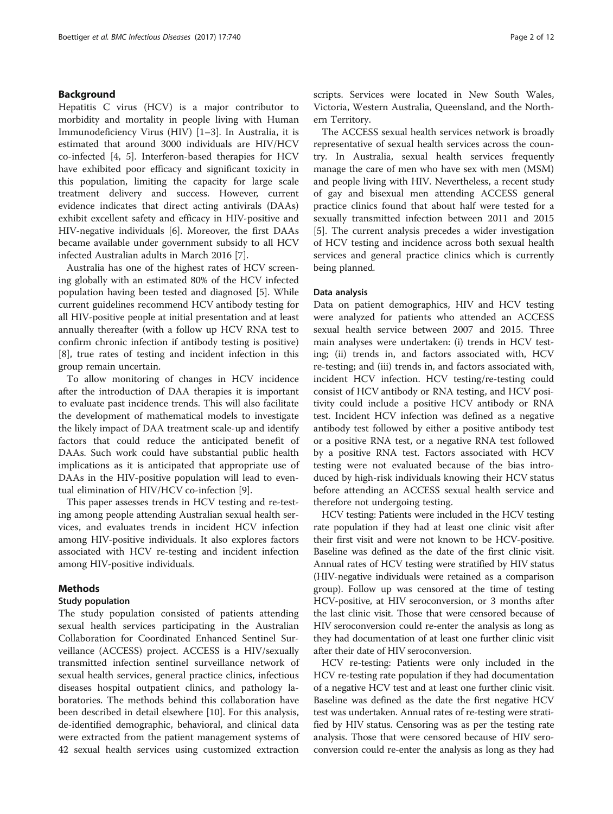# Background

Hepatitis C virus (HCV) is a major contributor to morbidity and mortality in people living with Human Immunodeficiency Virus (HIV) [[1](#page-10-0)–[3\]](#page-10-0). In Australia, it is estimated that around 3000 individuals are HIV/HCV co-infected [\[4](#page-10-0), [5](#page-10-0)]. Interferon-based therapies for HCV have exhibited poor efficacy and significant toxicity in this population, limiting the capacity for large scale treatment delivery and success. However, current evidence indicates that direct acting antivirals (DAAs) exhibit excellent safety and efficacy in HIV-positive and HIV-negative individuals [\[6](#page-10-0)]. Moreover, the first DAAs became available under government subsidy to all HCV infected Australian adults in March 2016 [\[7](#page-11-0)].

Australia has one of the highest rates of HCV screening globally with an estimated 80% of the HCV infected population having been tested and diagnosed [[5\]](#page-10-0). While current guidelines recommend HCV antibody testing for all HIV-positive people at initial presentation and at least annually thereafter (with a follow up HCV RNA test to confirm chronic infection if antibody testing is positive) [[8\]](#page-11-0), true rates of testing and incident infection in this group remain uncertain.

To allow monitoring of changes in HCV incidence after the introduction of DAA therapies it is important to evaluate past incidence trends. This will also facilitate the development of mathematical models to investigate the likely impact of DAA treatment scale-up and identify factors that could reduce the anticipated benefit of DAAs. Such work could have substantial public health implications as it is anticipated that appropriate use of DAAs in the HIV-positive population will lead to eventual elimination of HIV/HCV co-infection [\[9](#page-11-0)].

This paper assesses trends in HCV testing and re-testing among people attending Australian sexual health services, and evaluates trends in incident HCV infection among HIV-positive individuals. It also explores factors associated with HCV re-testing and incident infection among HIV-positive individuals.

# Methods

# Study population

The study population consisted of patients attending sexual health services participating in the Australian Collaboration for Coordinated Enhanced Sentinel Surveillance (ACCESS) project. ACCESS is a HIV/sexually transmitted infection sentinel surveillance network of sexual health services, general practice clinics, infectious diseases hospital outpatient clinics, and pathology laboratories. The methods behind this collaboration have been described in detail elsewhere [[10](#page-11-0)]. For this analysis, de-identified demographic, behavioral, and clinical data were extracted from the patient management systems of 42 sexual health services using customized extraction scripts. Services were located in New South Wales, Victoria, Western Australia, Queensland, and the Northern Territory.

The ACCESS sexual health services network is broadly representative of sexual health services across the country. In Australia, sexual health services frequently manage the care of men who have sex with men (MSM) and people living with HIV. Nevertheless, a recent study of gay and bisexual men attending ACCESS general practice clinics found that about half were tested for a sexually transmitted infection between 2011 and 2015 [[5\]](#page-10-0). The current analysis precedes a wider investigation of HCV testing and incidence across both sexual health services and general practice clinics which is currently being planned.

# Data analysis

Data on patient demographics, HIV and HCV testing were analyzed for patients who attended an ACCESS sexual health service between 2007 and 2015. Three main analyses were undertaken: (i) trends in HCV testing; (ii) trends in, and factors associated with, HCV re-testing; and (iii) trends in, and factors associated with, incident HCV infection. HCV testing/re-testing could consist of HCV antibody or RNA testing, and HCV positivity could include a positive HCV antibody or RNA test. Incident HCV infection was defined as a negative antibody test followed by either a positive antibody test or a positive RNA test, or a negative RNA test followed by a positive RNA test. Factors associated with HCV testing were not evaluated because of the bias introduced by high-risk individuals knowing their HCV status before attending an ACCESS sexual health service and therefore not undergoing testing.

HCV testing: Patients were included in the HCV testing rate population if they had at least one clinic visit after their first visit and were not known to be HCV-positive. Baseline was defined as the date of the first clinic visit. Annual rates of HCV testing were stratified by HIV status (HIV-negative individuals were retained as a comparison group). Follow up was censored at the time of testing HCV-positive, at HIV seroconversion, or 3 months after the last clinic visit. Those that were censored because of HIV seroconversion could re-enter the analysis as long as they had documentation of at least one further clinic visit after their date of HIV seroconversion.

HCV re-testing: Patients were only included in the HCV re-testing rate population if they had documentation of a negative HCV test and at least one further clinic visit. Baseline was defined as the date the first negative HCV test was undertaken. Annual rates of re-testing were stratified by HIV status. Censoring was as per the testing rate analysis. Those that were censored because of HIV seroconversion could re-enter the analysis as long as they had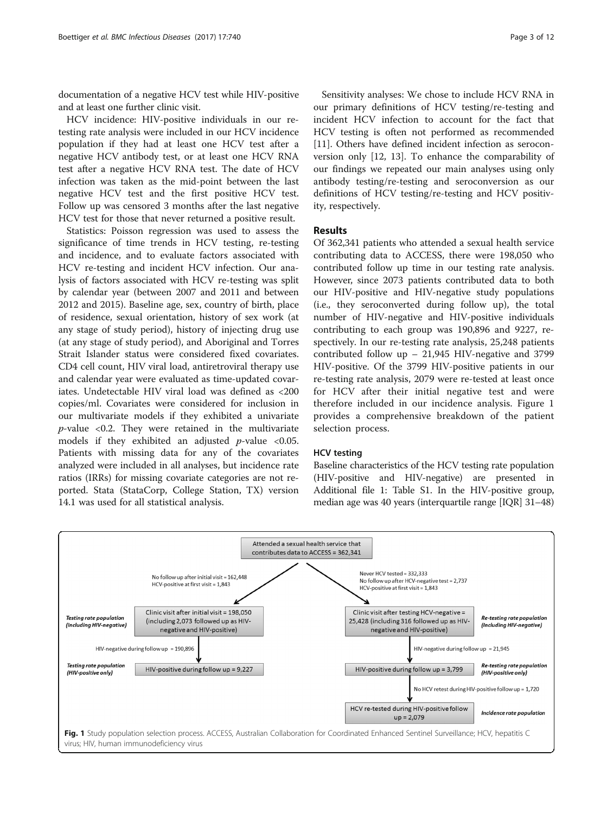documentation of a negative HCV test while HIV-positive and at least one further clinic visit.

HCV incidence: HIV-positive individuals in our retesting rate analysis were included in our HCV incidence population if they had at least one HCV test after a negative HCV antibody test, or at least one HCV RNA test after a negative HCV RNA test. The date of HCV infection was taken as the mid-point between the last negative HCV test and the first positive HCV test. Follow up was censored 3 months after the last negative HCV test for those that never returned a positive result.

Statistics: Poisson regression was used to assess the significance of time trends in HCV testing, re-testing and incidence, and to evaluate factors associated with HCV re-testing and incident HCV infection. Our analysis of factors associated with HCV re-testing was split by calendar year (between 2007 and 2011 and between 2012 and 2015). Baseline age, sex, country of birth, place of residence, sexual orientation, history of sex work (at any stage of study period), history of injecting drug use (at any stage of study period), and Aboriginal and Torres Strait Islander status were considered fixed covariates. CD4 cell count, HIV viral load, antiretroviral therapy use and calendar year were evaluated as time-updated covariates. Undetectable HIV viral load was defined as <200 copies/ml. Covariates were considered for inclusion in our multivariate models if they exhibited a univariate  $p$ -value <0.2. They were retained in the multivariate models if they exhibited an adjusted  $p$ -value <0.05. Patients with missing data for any of the covariates analyzed were included in all analyses, but incidence rate ratios (IRRs) for missing covariate categories are not reported. Stata (StataCorp, College Station, TX) version 14.1 was used for all statistical analysis.

Sensitivity analyses: We chose to include HCV RNA in our primary definitions of HCV testing/re-testing and incident HCV infection to account for the fact that HCV testing is often not performed as recommended [[11\]](#page-11-0). Others have defined incident infection as seroconversion only [\[12](#page-11-0), [13\]](#page-11-0). To enhance the comparability of our findings we repeated our main analyses using only antibody testing/re-testing and seroconversion as our definitions of HCV testing/re-testing and HCV positivity, respectively.

# Results

Of 362,341 patients who attended a sexual health service contributing data to ACCESS, there were 198,050 who contributed follow up time in our testing rate analysis. However, since 2073 patients contributed data to both our HIV-positive and HIV-negative study populations (i.e., they seroconverted during follow up), the total number of HIV-negative and HIV-positive individuals contributing to each group was 190,896 and 9227, respectively. In our re-testing rate analysis, 25,248 patients contributed follow up – 21,945 HIV-negative and 3799 HIV-positive. Of the 3799 HIV-positive patients in our re-testing rate analysis, 2079 were re-tested at least once for HCV after their initial negative test and were therefore included in our incidence analysis. Figure 1 provides a comprehensive breakdown of the patient selection process.

# HCV testing

Baseline characteristics of the HCV testing rate population (HIV-positive and HIV-negative) are presented in Additional file [1](#page-10-0): Table S1. In the HIV-positive group, median age was 40 years (interquartile range [IQR] 31–48)

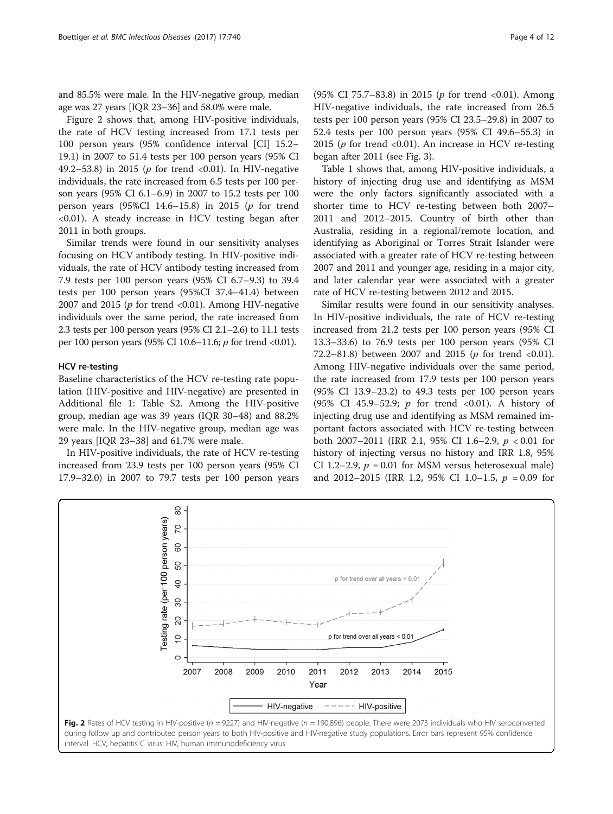<span id="page-3-0"></span>and 85.5% were male. In the HIV-negative group, median age was 27 years [IQR 23–36] and 58.0% were male.

Figure 2 shows that, among HIV-positive individuals, the rate of HCV testing increased from 17.1 tests per 100 person years (95% confidence interval [CI] 15.2– 19.1) in 2007 to 51.4 tests per 100 person years (95% CI 49.2–53.8) in 2015 ( $p$  for trend <0.01). In HIV-negative individuals, the rate increased from 6.5 tests per 100 person years (95% CI 6.1–6.9) in 2007 to 15.2 tests per 100 person years (95%CI 14.6-15.8) in 2015 ( $p$  for trend <0.01). A steady increase in HCV testing began after 2011 in both groups.

Similar trends were found in our sensitivity analyses focusing on HCV antibody testing. In HIV-positive individuals, the rate of HCV antibody testing increased from 7.9 tests per 100 person years (95% CI 6.7–9.3) to 39.4 tests per 100 person years (95%CI 37.4–41.4) between 2007 and 2015 ( $p$  for trend <0.01). Among HIV-negative individuals over the same period, the rate increased from 2.3 tests per 100 person years (95% CI 2.1–2.6) to 11.1 tests per 100 person years (95% CI 10.6–11.6; p for trend <0.01).

# HCV re-testing

Baseline characteristics of the HCV re-testing rate population (HIV-positive and HIV-negative) are presented in Additional file [1](#page-10-0): Table S2. Among the HIV-positive group, median age was 39 years (IQR 30–48) and 88.2% were male. In the HIV-negative group, median age was 29 years [IQR 23–38] and 61.7% were male.

In HIV-positive individuals, the rate of HCV re-testing increased from 23.9 tests per 100 person years (95% CI 17.9–32.0) in 2007 to 79.7 tests per 100 person years

tests per 100 person years (95% CI 23.5–29.8) in 2007 to 52.4 tests per 100 person years (95% CI 49.6–55.3) in 2015 ( $p$  for trend <0.01). An increase in HCV re-testing began after 2011 (see Fig. [3\)](#page-4-0).

Table [1](#page-5-0) shows that, among HIV-positive individuals, a history of injecting drug use and identifying as MSM were the only factors significantly associated with a shorter time to HCV re-testing between both 2007– 2011 and 2012–2015. Country of birth other than Australia, residing in a regional/remote location, and identifying as Aboriginal or Torres Strait Islander were associated with a greater rate of HCV re-testing between 2007 and 2011 and younger age, residing in a major city, and later calendar year were associated with a greater rate of HCV re-testing between 2012 and 2015.

Similar results were found in our sensitivity analyses. In HIV-positive individuals, the rate of HCV re-testing increased from 21.2 tests per 100 person years (95% CI 13.3–33.6) to 76.9 tests per 100 person years (95% CI 72.2–81.8) between 2007 and 2015 ( $p$  for trend <0.01). Among HIV-negative individuals over the same period, the rate increased from 17.9 tests per 100 person years (95% CI 13.9–23.2) to 49.3 tests per 100 person years (95% CI 45.9–52.9;  $p$  for trend <0.01). A history of injecting drug use and identifying as MSM remained important factors associated with HCV re-testing between both 2007–2011 (IRR 2.1, 95% CI 1.6–2.9, p < 0.01 for history of injecting versus no history and IRR 1.8, 95% CI 1.2–2.9,  $p = 0.01$  for MSM versus heterosexual male) and 2012–2015 (IRR 1.2, 95% CI 1.0–1.5,  $p = 0.09$  for



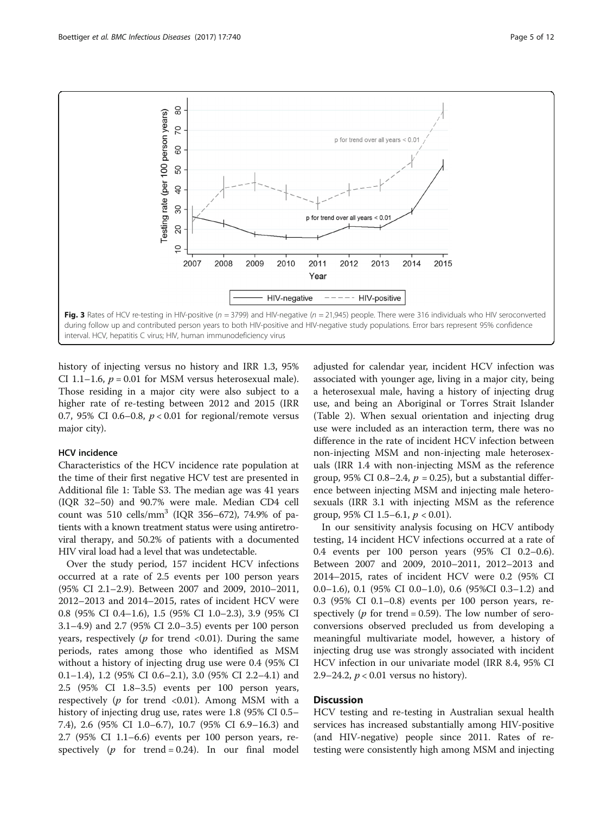<span id="page-4-0"></span>

history of injecting versus no history and IRR 1.3, 95% CI 1.1–1.6,  $p = 0.01$  for MSM versus heterosexual male). Those residing in a major city were also subject to a higher rate of re-testing between 2012 and 2015 (IRR 0.7, 95% CI 0.6–0.8,  $p < 0.01$  for regional/remote versus major city).

## HCV incidence

Characteristics of the HCV incidence rate population at the time of their first negative HCV test are presented in Additional file [1](#page-10-0): Table S3. The median age was 41 years (IQR 32–50) and 90.7% were male. Median CD4 cell count was 510 cells/mm<sup>3</sup> (IQR 356–672), 74.9% of patients with a known treatment status were using antiretroviral therapy, and 50.2% of patients with a documented HIV viral load had a level that was undetectable.

Over the study period, 157 incident HCV infections occurred at a rate of 2.5 events per 100 person years (95% CI 2.1–2.9). Between 2007 and 2009, 2010–2011, 2012–2013 and 2014–2015, rates of incident HCV were 0.8 (95% CI 0.4–1.6), 1.5 (95% CI 1.0–2.3), 3.9 (95% CI 3.1–4.9) and 2.7 (95% CI 2.0–3.5) events per 100 person years, respectively ( $p$  for trend <0.01). During the same periods, rates among those who identified as MSM without a history of injecting drug use were 0.4 (95% CI 0.1–1.4), 1.2 (95% CI 0.6–2.1), 3.0 (95% CI 2.2–4.1) and 2.5 (95% CI 1.8–3.5) events per 100 person years, respectively ( $p$  for trend <0.01). Among MSM with a history of injecting drug use, rates were 1.8 (95% CI 0.5– 7.4), 2.6 (95% CI 1.0–6.7), 10.7 (95% CI 6.9–16.3) and 2.7 (95% CI 1.1–6.6) events per 100 person years, respectively ( $p$  for trend = 0.24). In our final model adjusted for calendar year, incident HCV infection was associated with younger age, living in a major city, being a heterosexual male, having a history of injecting drug use, and being an Aboriginal or Torres Strait Islander (Table [2\)](#page-7-0). When sexual orientation and injecting drug use were included as an interaction term, there was no difference in the rate of incident HCV infection between non-injecting MSM and non-injecting male heterosexuals (IRR 1.4 with non-injecting MSM as the reference group, 95% CI 0.8–2.4,  $p = 0.25$ ), but a substantial difference between injecting MSM and injecting male heterosexuals (IRR 3.1 with injecting MSM as the reference group, 95% CI 1.5–6.1,  $p < 0.01$ ).

In our sensitivity analysis focusing on HCV antibody testing, 14 incident HCV infections occurred at a rate of 0.4 events per 100 person years (95% CI 0.2–0.6). Between 2007 and 2009, 2010–2011, 2012–2013 and 2014–2015, rates of incident HCV were 0.2 (95% CI 0.0–1.6), 0.1 (95% CI 0.0–1.0), 0.6 (95%CI 0.3–1.2) and 0.3 (95% CI 0.1–0.8) events per 100 person years, respectively ( $p$  for trend = 0.59). The low number of seroconversions observed precluded us from developing a meaningful multivariate model, however, a history of injecting drug use was strongly associated with incident HCV infection in our univariate model (IRR 8.4, 95% CI 2.9–24.2,  $p < 0.01$  versus no history).

# **Discussion**

HCV testing and re-testing in Australian sexual health services has increased substantially among HIV-positive (and HIV-negative) people since 2011. Rates of retesting were consistently high among MSM and injecting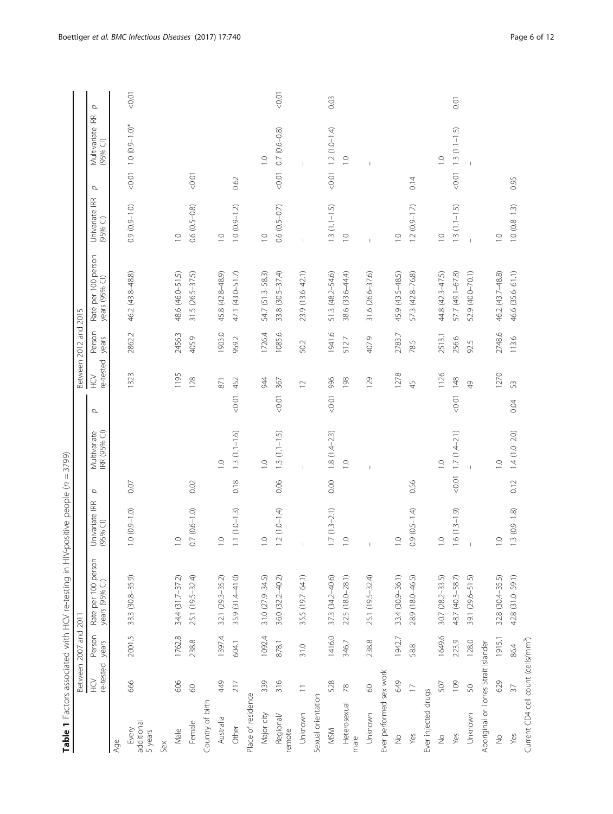<span id="page-5-0"></span>

|                                                 |                          |                 | Table 1 Factors associated with HCV re-testing in HIV- | positive people (n           | $\, \parallel$ | 3799)                        |                 |                       |                 |                                       |                              |                               |                  |      |
|-------------------------------------------------|--------------------------|-----------------|--------------------------------------------------------|------------------------------|----------------|------------------------------|-----------------|-----------------------|-----------------|---------------------------------------|------------------------------|-------------------------------|------------------|------|
|                                                 | Between 2007 and 2011    |                 |                                                        |                              |                |                              |                 | Between 2012 and 2015 |                 |                                       |                              |                               |                  |      |
|                                                 | re-tested<br>Ğ           | Person<br>years | Rate per 100 person<br>years (95% CI)                  | Univariate IRR<br>$(95%$ CI) | p              | IRR (95% CI)<br>Multivariate | Ğ<br>$\sigma$   | re-tested             | Person<br>years | Rate per 100 person<br>years (95% CI) | Univariate IRR<br>$(95%$ CI) | $(95%$ CI)<br>σ               | Multivariate IRR | p    |
| Age                                             |                          |                 |                                                        |                              |                |                              |                 |                       |                 |                                       |                              |                               |                  |      |
| additional<br>Every<br>5 years                  | 666                      | 2001.5          | 33.3 (30.8-35.9)                                       | $1.0 (0.9 - 1.0)$            | 0.07           |                              | 1323            |                       | 2862.2          | 46.2 (43.8-48.8)                      | $0.9(0.9 - 1.0)$             | $0.01$ 1.0 $(0.9 - 1.0)^*$    |                  | 1000 |
| Sex                                             |                          |                 |                                                        |                              |                |                              |                 |                       |                 |                                       |                              |                               |                  |      |
| Male                                            | 606                      | 1762.8          | 34.4 (31.7-37.2)                                       | $\overline{C}$               |                |                              |                 | 1195                  | 2456.3          | 48.6 (46.0-51.5)                      | $\overline{C}$               |                               |                  |      |
| Female                                          | $\odot$                  | 238.8           | 25.1 (19.5-32.4)                                       | $0.7(0.6 - 1.0)$             | 0.02           |                              | 128             |                       | 405.9           | $31.5(26.5 - 37.5)$                   | $0.6(0.5-0.8)$               | 0.07                          |                  |      |
| Country of birth                                |                          |                 |                                                        |                              |                |                              |                 |                       |                 |                                       |                              |                               |                  |      |
| Australia                                       | 49                       | 1397.4          | 32.1 (29.3-35.2)                                       | $\supseteq$                  |                | $\overline{C}$               | 871             |                       | 1903.0          | 45.8 (42.8-48.9)                      | $\overline{1}$ . O           |                               |                  |      |
| Other                                           | 217                      | 604.1           | 35.9 (31.4-41.0)                                       | $1.1(1.0 - 1.3)$             | 0.18           | $1.3(1.1 - 1.6)$             | 452<br>$-0.01$  |                       | 959.2           | 47.1 (43.0–51.7)                      | $1.0(0.9 - 1.2)$             | 0.62                          |                  |      |
| Place of residence                              |                          |                 |                                                        |                              |                |                              |                 |                       |                 |                                       |                              |                               |                  |      |
| Major city                                      | 339                      | 1092.4          | 31.0 (27.9-34.5)                                       | $\frac{0}{1}$                |                | $\overline{C}$               | 944             |                       | 1726.4          | 54.7 (51.3-58.3)                      | $\overline{C}$               | $\frac{0}{1}$                 |                  |      |
| Regional/<br>remote                             | 316                      | 878.1           | 36.0 (32.2-40.2)                                       | $1.2(1.0-1.4)$               | 0.06           | $1.3(1.1-1.5)$               | 367<br>0.07 < 0 |                       | 1085.6          | 33.8 (30.5-37.4)                      | $0.6(0.5-0.7)$               | $0.7(0.6 - 0.8)$<br>50,01     |                  | 0.01 |
| Unknown                                         | $\overline{\phantom{a}}$ | 31.0            | 35.5 (19.7-64.1)                                       | $\mathbf{I}$                 |                |                              | $\supseteq$     |                       | 50.2            | 23.9 (13.6-42.1)                      | $\overline{1}$               | $\overline{1}$                |                  |      |
| Sexual orientation                              |                          |                 |                                                        |                              |                |                              |                 |                       |                 |                                       |                              |                               |                  |      |
| <b>MSM</b>                                      | 528                      | 1416.0          | 37.3 (34.2-40.6)                                       | $1.7(1.3-2.1)$               | 0.00           | $1.8(1.4-2.3)$               | 996<br>$-0.01$  |                       | 1941.6          | 51.3 (48.2-54.6)                      | $1.3(1.1-1.5)$               | $1.2(1.0-1.4)$<br>$500 - 700$ |                  | 0.03 |
| Heterosexual<br>male                            | $78$                     | 346.7           | 22.5 (18.0-28.1)                                       | $\supseteq$                  |                | $\overline{C}$               | 198             |                       | 512.7           | 38.6 (33.6-44.4)                      | $\overline{C}$               | $\overline{1}$ . O            |                  |      |
| Unknown                                         | 60                       | 238.8           | 25.1 (19.5-32.4)                                       |                              |                |                              | 129             |                       | 407.9           | 31.6 (26.6-37.6)                      |                              |                               |                  |      |
| Ever performed sex work                         |                          |                 |                                                        |                              |                |                              |                 |                       |                 |                                       |                              |                               |                  |      |
| $\frac{1}{2}$                                   | <b>649</b>               | 1942.7          | 33.4 (30.9-36.1)                                       | $\frac{1}{2}$                |                |                              | 1278            |                       | 2783.7          | 45.9 (43.5-48.5)                      | $\overline{1}$ . O           |                               |                  |      |
| Yes                                             | $\Box$                   | 58.8            | 28.9 (18.0-46.5)                                       | $0.9(0.5 - 1.4)$             | 0.56           |                              | 45              |                       | 78.5            | 57.3 (42.8-76.8)                      | $1.2(0.9 - 1.7)$             | 0.14                          |                  |      |
| Ever injected drugs                             |                          |                 |                                                        |                              |                |                              |                 |                       |                 |                                       |                              |                               |                  |      |
| $\stackrel{\circ}{\geq}$                        | 507                      | 1649.6          | 30.7 (28.2-33.5)                                       | $\frac{0}{1}$                |                | $\overline{1}$ .             |                 | 1126                  | 2513.1          | 44.8 (42.3-47.5)                      | $\overline{1}$ . O           | $\overline{1}$                |                  |      |
| Yes                                             | 109                      | 223.9           | 48.7 (40.3-58.7)                                       | $1.6(1.3-1.9)$               | 1000           | $1.7(1.4-2.1)$               | 148<br>$<0.01$  |                       | 256.6           | 57.7 (49.1-67.8)                      | $1.3(1.1-1.5)$               | $1.3(1 - 1.5)$<br>$500 - 700$ |                  | 0.01 |
| Unknown                                         | $\mathbb{S}^1$           | 128.0           | 39.1 (29.6-51.5)                                       |                              |                |                              | $\overline{6}$  |                       | 92.5            | 52.9 (40.0-70.1)                      |                              |                               |                  |      |
| Aboriginal or Torres Strait Islander            |                          |                 |                                                        |                              |                |                              |                 |                       |                 |                                       |                              |                               |                  |      |
| $\frac{1}{2}$                                   | 629                      | 1915.1          | 32.8 (30.4-35.5)                                       | $\frac{0}{1}$                |                | $\overline{a}$               |                 | 1270                  | 2748.6          | 46.2 (43.7-48.8)                      | $\overline{0}$ .             |                               |                  |      |
| Yes                                             | $\mathfrak{Z}$           | 86.4            | 42.8 (31.0-59.1)                                       | $1.3(0.9 - 1.8)$             | 0.12           | $1.4(1.0 - 2.0)$             | 53<br>0.04      |                       | 113.6           | 46.6 (35.6-61.1)                      | $1.0(0.8-1.3)$               | 0.95                          |                  |      |
| Current CD4 cell count (cells/mm <sup>3</sup> ) |                          |                 |                                                        |                              |                |                              |                 |                       |                 |                                       |                              |                               |                  |      |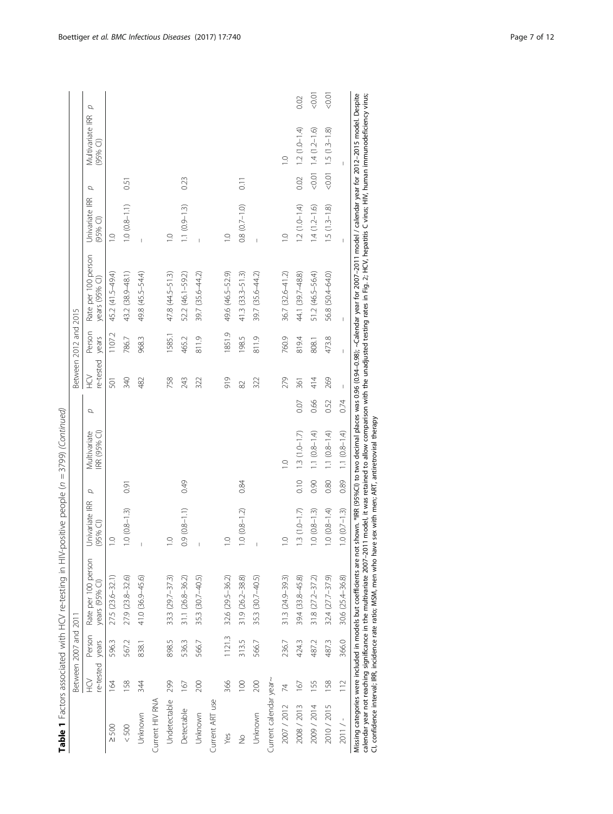| Univariate IRR<br>$0.9(0.8 - 1.1)$<br>$1.3(1.0-1.7)$<br>$1.0 (0.8 - 1.3)$<br>$1.0(0.8 - 1.2)$<br>$(95%$ Cl)<br>$\frac{1}{2}$<br>$\overline{0}$<br>$\overline{a}$<br>$\overline{a}$<br>Rate per 100 person<br>27.5 (23.6-32.1)<br>27.9 (23.8-32.6)<br>41.0 (36.9-45.6)<br>33.3 (29.7-37.3)<br>35.3 (30.7-40.5)<br>32.6 (29.5-36.2)<br>31.9 (26.2-38.8)<br>35.3 (30.7-40.5)<br>39.4 (33.8-45.8)<br>31.1 (26.8-36.2)<br>$31.3 (24.9 - 39.3)$<br>years (95% CI)<br>Person<br>1121.3<br>re-tested years<br>566.7<br>5963<br>313.5<br>898.5<br>566.7<br>4243<br>567.2<br>536.3<br>236.7<br>838.1<br>Current calendar year~<br>Ğ<br>164<br>158<br>366<br>200<br>344<br>299<br>200<br>100<br>167<br>167<br>74<br>Undetectable<br>Current HIV RNA<br>Current ART use<br>2007 / 2012<br>2008 / 2013<br>Detectable<br>Unknown<br>Unknown<br>Unknown<br>$< 500$<br>$\geq$ 500<br>Yes<br>$\frac{1}{2}$ | σ    |                             |      |                |                 | Between 2012 and 2015                   |                                   |                               |          |
|-------------------------------------------------------------------------------------------------------------------------------------------------------------------------------------------------------------------------------------------------------------------------------------------------------------------------------------------------------------------------------------------------------------------------------------------------------------------------------------------------------------------------------------------------------------------------------------------------------------------------------------------------------------------------------------------------------------------------------------------------------------------------------------------------------------------------------------------------------------------------------------------|------|-----------------------------|------|----------------|-----------------|-----------------------------------------|-----------------------------------|-------------------------------|----------|
|                                                                                                                                                                                                                                                                                                                                                                                                                                                                                                                                                                                                                                                                                                                                                                                                                                                                                           |      | Multivariate<br>RR (95% CI) | σ    | re-tested<br>Ğ | Person<br>years | Rate per 100 person<br>years $(95%$ Cl) | σ<br>Univariate IRR<br>$(95%$ CI) | Multivariate IRR<br>$(95%$ Cl | Q        |
|                                                                                                                                                                                                                                                                                                                                                                                                                                                                                                                                                                                                                                                                                                                                                                                                                                                                                           |      |                             |      | 501            | 1107.2          | 45.2 (41.5-49.4)                        | $\frac{1}{2}$                     |                               |          |
|                                                                                                                                                                                                                                                                                                                                                                                                                                                                                                                                                                                                                                                                                                                                                                                                                                                                                           | 0.91 |                             |      | 340            | 786.7           | 43.2 (38.9-48.1)                        | $1.0 (0.8 - 1.1)$                 | 0.51                          |          |
|                                                                                                                                                                                                                                                                                                                                                                                                                                                                                                                                                                                                                                                                                                                                                                                                                                                                                           |      |                             |      | 482            | 968.3           | 49.8 (45.5–54.4)                        | Ï                                 |                               |          |
|                                                                                                                                                                                                                                                                                                                                                                                                                                                                                                                                                                                                                                                                                                                                                                                                                                                                                           |      |                             |      |                |                 |                                         |                                   |                               |          |
|                                                                                                                                                                                                                                                                                                                                                                                                                                                                                                                                                                                                                                                                                                                                                                                                                                                                                           |      |                             |      | 758            | 1585.1          | 47.8 (44.5–51.3)                        | $\overline{1}$ . O                |                               |          |
|                                                                                                                                                                                                                                                                                                                                                                                                                                                                                                                                                                                                                                                                                                                                                                                                                                                                                           | 0.49 |                             |      | 243            | 465.2           | 52.2 (46.1-59.2)                        | $1.1 (0.9 - 1.3)$                 | 0.23                          |          |
|                                                                                                                                                                                                                                                                                                                                                                                                                                                                                                                                                                                                                                                                                                                                                                                                                                                                                           |      |                             |      | 322            | 811.9           | 39.7 (35.6-44.2)                        |                                   |                               |          |
|                                                                                                                                                                                                                                                                                                                                                                                                                                                                                                                                                                                                                                                                                                                                                                                                                                                                                           |      |                             |      |                |                 |                                         |                                   |                               |          |
|                                                                                                                                                                                                                                                                                                                                                                                                                                                                                                                                                                                                                                                                                                                                                                                                                                                                                           |      |                             |      | 919            | 1851.9          | 49.6 (46.5-52.9)                        | $\supseteq$                       |                               |          |
|                                                                                                                                                                                                                                                                                                                                                                                                                                                                                                                                                                                                                                                                                                                                                                                                                                                                                           | 0.84 |                             |      | $\approx$      | 198.5           | $41.3(33.3 - 51.3)$                     | $0.8(0.7-1.0)$                    | 0.11                          |          |
|                                                                                                                                                                                                                                                                                                                                                                                                                                                                                                                                                                                                                                                                                                                                                                                                                                                                                           |      |                             |      | 322            | 811.9           | 39.7 (35.6-44.2)                        |                                   |                               |          |
|                                                                                                                                                                                                                                                                                                                                                                                                                                                                                                                                                                                                                                                                                                                                                                                                                                                                                           |      |                             |      |                |                 |                                         |                                   |                               |          |
|                                                                                                                                                                                                                                                                                                                                                                                                                                                                                                                                                                                                                                                                                                                                                                                                                                                                                           |      | $\frac{1}{2}$               |      | 279            | 760.9           | $36.7(32.6 - 41.2)$                     | $\overline{10}$                   | $\overline{1}$                |          |
|                                                                                                                                                                                                                                                                                                                                                                                                                                                                                                                                                                                                                                                                                                                                                                                                                                                                                           | 0.10 | $1.3(1.0-1.7)$              | 0.07 | 361            | 819.4           | 44.1 (39.7-48.8)                        | $1.2(1.0-1.4)$                    | $0.02$ 1.2 $(1.0 - 1.4)$      | 0.02     |
| $1.0 (0.8 - 1.3)$<br>$31.8$ $(27.2 - 37.2)$<br>487.2<br>155<br>2009 / 2014                                                                                                                                                                                                                                                                                                                                                                                                                                                                                                                                                                                                                                                                                                                                                                                                                | 0.90 | $1.1 (0.8 - 1.4)$           | 0.66 | 414            | 808.1           | 51.2 (46.5-56.4)                        | $1.4(1.2 - 1.6)$                  | $0.01$ 1.4 $(1.2 - 1.6)$      | 1000     |
| $1.0(0.8-1.4)$<br>$32.4$ $(27.7 - 37.9)$<br>4873<br>158<br>2010 / 2015                                                                                                                                                                                                                                                                                                                                                                                                                                                                                                                                                                                                                                                                                                                                                                                                                    | 0.80 | $1.1(0.8-1.4)$              | 0.52 | 269            | 473.8           | 56.8 (50.4-64.0)                        | $1.5(1.3 - 1.8)$                  | $<0.01$ 1.5 (1.3-1.8)         | 10:0 > 0 |
| $1.0(0.7-1.3)$<br>30.6 (25.4-36.8)<br>366.0<br>112<br>$2011 / -$                                                                                                                                                                                                                                                                                                                                                                                                                                                                                                                                                                                                                                                                                                                                                                                                                          | 0.89 | $1.1 (0.8 - 1.4)$           | 0.74 | $\overline{1}$ | $\overline{1}$  |                                         |                                   |                               |          |

ś, calendar year not reaching significance in the multivariate 2007–2011 model, it was retained to allow comparison with the unadjusted testing rates in Fig. [2;](#page-3-0) HCV, hepatitis C virus; HIV, human immunodeficiency virus; ু Missing categories were included in models but coefficients are not shown. \*IRR (95%CI) to two decimal places<br>calendar year not reaching significance in the multivariate 2007–2011 model, it was retained to allow comparis<br>C CI, confidence interval; IRR, incidence rate ratio; MSM, men who have sex with men; ART, antiretroviral therapy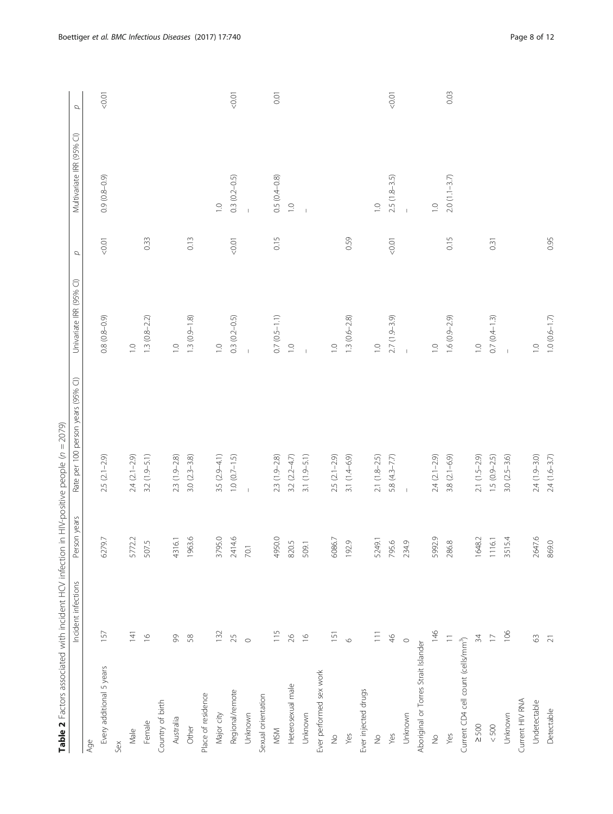<span id="page-7-0"></span>

|                                                 | Table 2 Factors associated with incident HCV infection in HIV-positive people (n = 2079)<br>Incident infections | Person years | Rate per 100 person years (95% CI) | Univariate IRR (95% CI)  |                   | Multivariate IRR (95% CI) |       |
|-------------------------------------------------|-----------------------------------------------------------------------------------------------------------------|--------------|------------------------------------|--------------------------|-------------------|---------------------------|-------|
|                                                 |                                                                                                                 |              |                                    |                          | $\sigma$          |                           | p     |
| Age                                             |                                                                                                                 |              |                                    |                          |                   |                           |       |
| Every additional 5 years                        | 157                                                                                                             | 9.7<br>627   | $2.5(2.1-2.9)$                     | $0.8(0.8-0.9)$           | 5000              | $0.9(0.8-0.9)$            | 50.01 |
| Sex                                             |                                                                                                                 |              |                                    |                          |                   |                           |       |
| Male                                            | $\overline{4}$                                                                                                  | 5772.2       | $2.4 (2.1 - 2.9)$                  | $\supseteq$              |                   |                           |       |
| Female                                          | $\frac{\infty}{2}$                                                                                              | 507.5        | $3.2(1.9 - 5.1)$                   | $1.3(0.8-2.2)$           | 0.33              |                           |       |
| Country of birth                                |                                                                                                                 |              |                                    |                          |                   |                           |       |
| Australia                                       | $\infty$                                                                                                        | 4316.1       | $2.3(1.9 - 2.8)$                   | $\overline{C}$           |                   |                           |       |
| Other                                           | 58                                                                                                              | 1963.6       | $3.0 (2.3 - 3.8)$                  | $1.3(0.9 - 1.8)$         | 0.13              |                           |       |
| Place of residence                              |                                                                                                                 |              |                                    |                          |                   |                           |       |
| Major city                                      | 132                                                                                                             | 3795.0       | $3.5(2.9 - 4.1)$                   | $\overline{\phantom{a}}$ |                   | $\overline{0}$            |       |
| Regional/remote                                 | 25                                                                                                              | 2414.6       | $1.0 (0.7 - 1.5)$                  | $0.3(0.2 - 0.5)$         | 50.01             | $0.3(0.2 - 0.5)$          | 1000  |
| Unknown                                         | $\circ$                                                                                                         | 70.1         | $\mathbf{I}$                       | $\mathbb{I}$             |                   | $\mathbf{I}$              |       |
| Sexual orientation                              |                                                                                                                 |              |                                    |                          |                   |                           |       |
| <b>MSM</b>                                      | 115                                                                                                             | 4950.0       | $2.3(1.9-2.8)$                     | $0.7(0.5 - 1.1)$         | 0.15              | $0.5(0.4 - 0.8)$          | 0.01  |
| Heterosexual male                               | $\approx$                                                                                                       | 820.5        | $3.2(2.2 - 4.7)$                   | $\overline{1}$ .         |                   | $\overline{0}$            |       |
| Unknown                                         | $\approx$                                                                                                       | 509.1        | $3.1(1.9 - 5.1)$                   |                          |                   |                           |       |
| Ever performed sex work                         |                                                                                                                 |              |                                    |                          |                   |                           |       |
| $\stackrel{\circ}{\geq}$                        | 151                                                                                                             | 6086.7       | $2.5$ $(2.1-2.9)$                  | $\overline{1}$ . O       |                   |                           |       |
| Yes                                             | $\circ$                                                                                                         | 192.9        | $3.1(1.4-6.9)$                     | $1.3(0.6 - 2.8)$         | 0.59              |                           |       |
| Ever injected drugs                             |                                                                                                                 |              |                                    |                          |                   |                           |       |
| $\stackrel{\circ}{\geq}$                        | $\overline{11}$                                                                                                 | 5249.1       | $2.1(1.8-2.5)$                     | $\overline{0}$           |                   | $\overline{a}$            |       |
| Yes                                             | $\frac{4}{6}$                                                                                                   | 795.6        | 5.8 (4.3–7.7)                      | $2.7(1.9-3.9)$           | 0.07 <sub>0</sub> | $2.5(1.8-3.5)$            | 1000  |
| Unknown                                         | $\circ$                                                                                                         | 234.9        | $\mathbb{I}$                       | $\mathbf{I}$             |                   |                           |       |
| Aboriginal or Torres Strait Islander            |                                                                                                                 |              |                                    |                          |                   |                           |       |
| $\frac{1}{2}$                                   | 146                                                                                                             | 5992.9       | $2.4(2.1-2.9)$                     | $\overline{C}$           |                   | $\overline{C}$            |       |
| Yes                                             | $\equiv$                                                                                                        | 286.8        | $3.8(2.1 - 6.9)$                   | $1.6(0.9-2.9)$           | 0.15              | $2.0(1.1-3.7)$            | 0.03  |
| Current CD4 cell count (cells/mm <sup>3</sup> ) |                                                                                                                 |              |                                    |                          |                   |                           |       |
| $\geq$ 500                                      | 34                                                                                                              | 1648.2       | $2.1(1.5-2.9)$                     | $\overline{0}$           |                   |                           |       |
| $< 500$                                         | $\Box$                                                                                                          | 1116.1       | $1.5(0.9-2.5)$                     | $0.7(0.4 - 1.3)$         | 0.31              |                           |       |
| Unknown                                         | 106                                                                                                             | 3515.4       | $3.0 (2.5 - 3.6)$                  | $\mathbb{I}$             |                   |                           |       |
| Current HIV RNA                                 |                                                                                                                 |              |                                    |                          |                   |                           |       |
| Undetectable                                    | $\mathcal{O}$                                                                                                   | 2647.6       | 2.4 (1.9-3.0)                      | $\supseteq$              |                   |                           |       |
| Detectable                                      | $\overline{21}$                                                                                                 | 869.0        | $2.4(1.6-3.7)$                     | $1.0(0.6 - 1.7)$         | 0.95              |                           |       |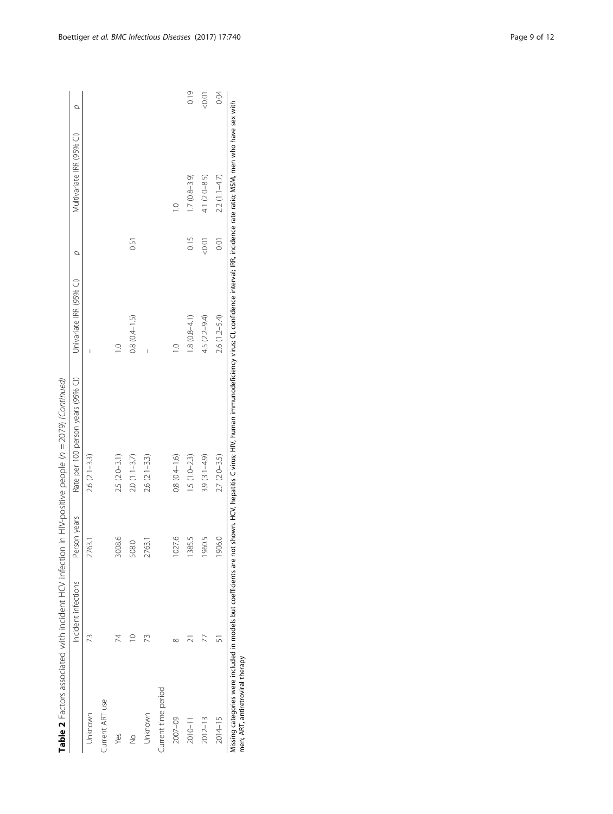|                                  |                     |              | Table 2 Factors associated with incident HCV infection in HIV-positive people (n = 2079) (Continued)                                                                                                            |                         |            |                           |         |
|----------------------------------|---------------------|--------------|-----------------------------------------------------------------------------------------------------------------------------------------------------------------------------------------------------------------|-------------------------|------------|---------------------------|---------|
|                                  | Incident infections | Person years | Rate per 100 person years (95% CI)                                                                                                                                                                              | Univariate IRR (95% CI) | d          | Multivariate IRR (95% CI) | Q       |
| Unknown                          | 73                  | 2763.1       | $2.6$ $(2.1 - 3.3)$                                                                                                                                                                                             |                         |            |                           |         |
| Current ART use                  |                     |              |                                                                                                                                                                                                                 |                         |            |                           |         |
| Yes                              | 74                  | 3008.6       | $2.5 (2.0 - 3.1)$                                                                                                                                                                                               | $\frac{1}{2}$           |            |                           |         |
| $\frac{1}{2}$                    | $\supseteq$         | 508.0        | $2.0(1.1-3.7)$                                                                                                                                                                                                  | $0.8(0.4 - 1.5)$        | 0.51       |                           |         |
| Unknown                          |                     | 2763.1       | $2.6$ $(2.1 - 3.3)$                                                                                                                                                                                             | I                       |            |                           |         |
| Current time period              |                     |              |                                                                                                                                                                                                                 |                         |            |                           |         |
| 2007-09                          | ∝                   | 1027.6       | $0.8(0.4 - 1.6)$                                                                                                                                                                                                | $\frac{1}{2}$           |            | $\frac{1}{2}$             |         |
| $2010 - 11$                      |                     | 1385.5       | $1.5(1.0-2.3)$                                                                                                                                                                                                  | $1.8(0.8-4.1)$          | 0.15       | $1.7(0.8-3.9)$            | 0.19    |
| $2012 - 13$                      |                     | 1960.5       | $3.9(3.1 - 4.9)$                                                                                                                                                                                                | 4.5 (2.2-9.4)           | $1000 - 7$ | 4.1 (2.0-8.5)             | $-0.01$ |
| 2014-15                          |                     | 1906.0       | $2.7 (2.0 - 3.5)$                                                                                                                                                                                               | $2.6(1.2 - 5.4)$        | 0.01       | $2.2(1.1-4.7)$            | 0.04    |
| men; ART, antiretroviral therapy |                     |              | Missing categories were included in models but coefficients are not shown. HCV, hepatitis C virus; HIV, human immunodeficiency virus; CI, confidence interval; IRR, incidence ratio; MSM, men who have sex with |                         |            |                           |         |

 $+$   $-$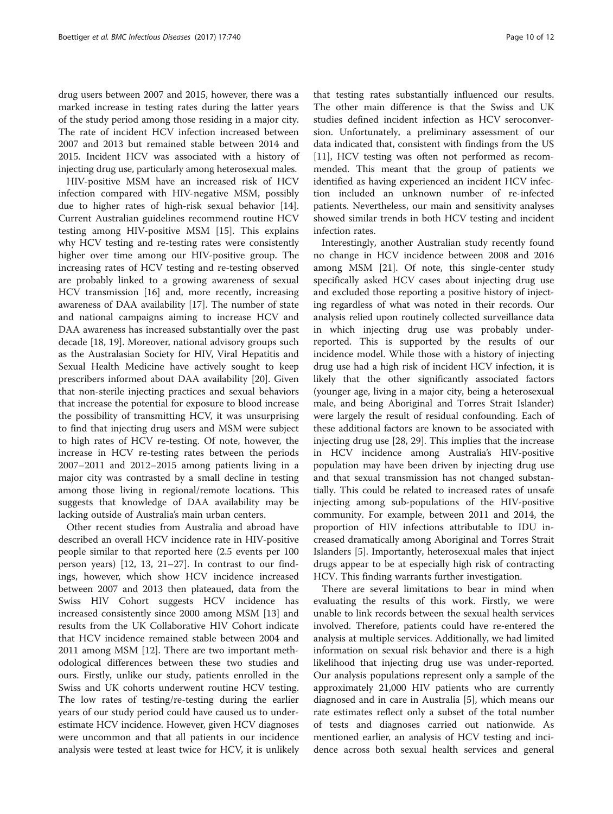drug users between 2007 and 2015, however, there was a marked increase in testing rates during the latter years of the study period among those residing in a major city. The rate of incident HCV infection increased between 2007 and 2013 but remained stable between 2014 and 2015. Incident HCV was associated with a history of injecting drug use, particularly among heterosexual males.

HIV-positive MSM have an increased risk of HCV infection compared with HIV-negative MSM, possibly due to higher rates of high-risk sexual behavior [\[14](#page-11-0)]. Current Australian guidelines recommend routine HCV testing among HIV-positive MSM [[15\]](#page-11-0). This explains why HCV testing and re-testing rates were consistently higher over time among our HIV-positive group. The increasing rates of HCV testing and re-testing observed are probably linked to a growing awareness of sexual HCV transmission [[16\]](#page-11-0) and, more recently, increasing awareness of DAA availability [[17](#page-11-0)]. The number of state and national campaigns aiming to increase HCV and DAA awareness has increased substantially over the past decade [[18, 19\]](#page-11-0). Moreover, national advisory groups such as the Australasian Society for HIV, Viral Hepatitis and Sexual Health Medicine have actively sought to keep prescribers informed about DAA availability [[20](#page-11-0)]. Given that non-sterile injecting practices and sexual behaviors that increase the potential for exposure to blood increase the possibility of transmitting HCV, it was unsurprising to find that injecting drug users and MSM were subject to high rates of HCV re-testing. Of note, however, the increase in HCV re-testing rates between the periods 2007–2011 and 2012–2015 among patients living in a major city was contrasted by a small decline in testing among those living in regional/remote locations. This suggests that knowledge of DAA availability may be lacking outside of Australia's main urban centers.

Other recent studies from Australia and abroad have described an overall HCV incidence rate in HIV-positive people similar to that reported here (2.5 events per 100 person years) [\[12](#page-11-0), [13, 21](#page-11-0)–[27\]](#page-11-0). In contrast to our findings, however, which show HCV incidence increased between 2007 and 2013 then plateaued, data from the Swiss HIV Cohort suggests HCV incidence has increased consistently since 2000 among MSM [[13\]](#page-11-0) and results from the UK Collaborative HIV Cohort indicate that HCV incidence remained stable between 2004 and 2011 among MSM [[12\]](#page-11-0). There are two important methodological differences between these two studies and ours. Firstly, unlike our study, patients enrolled in the Swiss and UK cohorts underwent routine HCV testing. The low rates of testing/re-testing during the earlier years of our study period could have caused us to underestimate HCV incidence. However, given HCV diagnoses were uncommon and that all patients in our incidence analysis were tested at least twice for HCV, it is unlikely

that testing rates substantially influenced our results. The other main difference is that the Swiss and UK studies defined incident infection as HCV seroconversion. Unfortunately, a preliminary assessment of our data indicated that, consistent with findings from the US [[11\]](#page-11-0), HCV testing was often not performed as recommended. This meant that the group of patients we identified as having experienced an incident HCV infection included an unknown number of re-infected patients. Nevertheless, our main and sensitivity analyses showed similar trends in both HCV testing and incident infection rates.

Interestingly, another Australian study recently found no change in HCV incidence between 2008 and 2016 among MSM [[21](#page-11-0)]. Of note, this single-center study specifically asked HCV cases about injecting drug use and excluded those reporting a positive history of injecting regardless of what was noted in their records. Our analysis relied upon routinely collected surveillance data in which injecting drug use was probably underreported. This is supported by the results of our incidence model. While those with a history of injecting drug use had a high risk of incident HCV infection, it is likely that the other significantly associated factors (younger age, living in a major city, being a heterosexual male, and being Aboriginal and Torres Strait Islander) were largely the result of residual confounding. Each of these additional factors are known to be associated with injecting drug use [\[28](#page-11-0), [29](#page-11-0)]. This implies that the increase in HCV incidence among Australia's HIV-positive population may have been driven by injecting drug use and that sexual transmission has not changed substantially. This could be related to increased rates of unsafe injecting among sub-populations of the HIV-positive community. For example, between 2011 and 2014, the proportion of HIV infections attributable to IDU increased dramatically among Aboriginal and Torres Strait Islanders [[5\]](#page-10-0). Importantly, heterosexual males that inject drugs appear to be at especially high risk of contracting HCV. This finding warrants further investigation.

There are several limitations to bear in mind when evaluating the results of this work. Firstly, we were unable to link records between the sexual health services involved. Therefore, patients could have re-entered the analysis at multiple services. Additionally, we had limited information on sexual risk behavior and there is a high likelihood that injecting drug use was under-reported. Our analysis populations represent only a sample of the approximately 21,000 HIV patients who are currently diagnosed and in care in Australia [[5](#page-10-0)], which means our rate estimates reflect only a subset of the total number of tests and diagnoses carried out nationwide. As mentioned earlier, an analysis of HCV testing and incidence across both sexual health services and general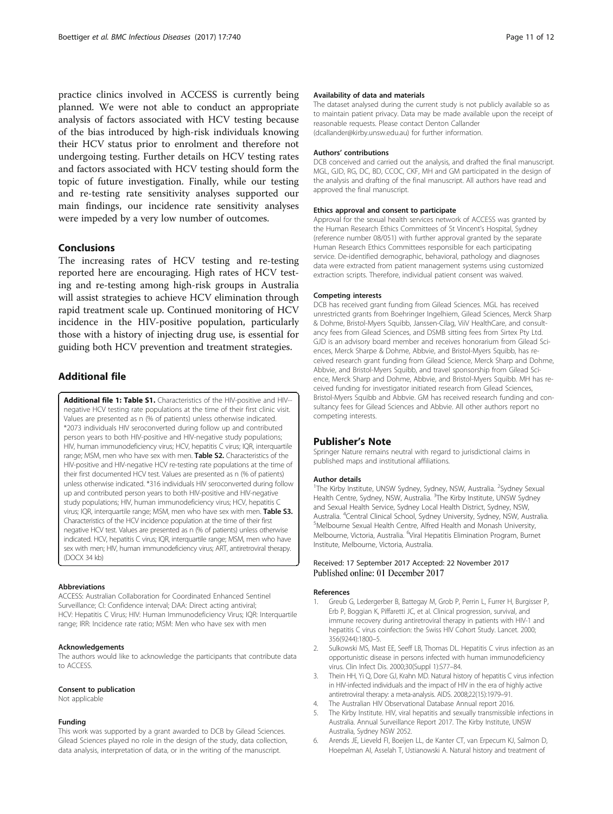<span id="page-10-0"></span>practice clinics involved in ACCESS is currently being planned. We were not able to conduct an appropriate analysis of factors associated with HCV testing because of the bias introduced by high-risk individuals knowing their HCV status prior to enrolment and therefore not undergoing testing. Further details on HCV testing rates and factors associated with HCV testing should form the topic of future investigation. Finally, while our testing and re-testing rate sensitivity analyses supported our main findings, our incidence rate sensitivity analyses were impeded by a very low number of outcomes.

# Conclusions

The increasing rates of HCV testing and re-testing reported here are encouraging. High rates of HCV testing and re-testing among high-risk groups in Australia will assist strategies to achieve HCV elimination through rapid treatment scale up. Continued monitoring of HCV incidence in the HIV-positive population, particularly those with a history of injecting drug use, is essential for guiding both HCV prevention and treatment strategies.

# Additional file

[Additional file 1: Table S1.](dx.doi.org/10.1186/s12879-017-2848-0) Characteristics of the HIV-positive and HIV-negative HCV testing rate populations at the time of their first clinic visit. Values are presented as n (% of patients) unless otherwise indicated. \*2073 individuals HIV seroconverted during follow up and contributed person years to both HIV-positive and HIV-negative study populations; HIV, human immunodeficiency virus; HCV, hepatitis C virus; IQR, interquartile range; MSM, men who have sex with men. Table S2. Characteristics of the HIV-positive and HIV-negative HCV re-testing rate populations at the time of their first documented HCV test. Values are presented as n (% of patients) unless otherwise indicated. \*316 individuals HIV seroconverted during follow up and contributed person years to both HIV-positive and HIV-negative study populations; HIV, human immunodeficiency virus; HCV, hepatitis C virus; IQR, interquartile range; MSM, men who have sex with men. Table S3. Characteristics of the HCV incidence population at the time of their first negative HCV test. Values are presented as n (% of patients) unless otherwise indicated. HCV, hepatitis C virus; IQR, interquartile range; MSM, men who have sex with men; HIV, human immunodeficiency virus; ART, antiretroviral therapy. (DOCX 34 kb)

#### Abbreviations

ACCESS: Australian Collaboration for Coordinated Enhanced Sentinel Surveillance; CI: Confidence interval; DAA: Direct acting antiviral; HCV: Hepatitis C Virus; HIV: Human Immunodeficiency Virus; IQR: Interquartile range; IRR: Incidence rate ratio; MSM: Men who have sex with men

#### Acknowledgements

The authors would like to acknowledge the participants that contribute data to ACCESS.

#### Consent to publication

Not applicable

### Funding

This work was supported by a grant awarded to DCB by Gilead Sciences. Gilead Sciences played no role in the design of the study, data collection, data analysis, interpretation of data, or in the writing of the manuscript.

## Availability of data and materials

The dataset analysed during the current study is not publicly available so as to maintain patient privacy. Data may be made available upon the receipt of reasonable requests. Please contact Denton Callander (dcallander@kirby.unsw.edu.au) for further information.

#### Authors' contributions

DCB conceived and carried out the analysis, and drafted the final manuscript. MGL, GJD, RG, DC, BD, CCOC, CKF, MH and GM participated in the design of the analysis and drafting of the final manuscript. All authors have read and approved the final manuscript.

#### Ethics approval and consent to participate

Approval for the sexual health services network of ACCESS was granted by the Human Research Ethics Committees of St Vincent's Hospital, Sydney (reference number 08/051) with further approval granted by the separate Human Research Ethics Committees responsible for each participating service. De-identified demographic, behavioral, pathology and diagnoses data were extracted from patient management systems using customized extraction scripts. Therefore, individual patient consent was waived.

## Competing interests

DCB has received grant funding from Gilead Sciences. MGL has received unrestricted grants from Boehringer Ingelhiem, Gilead Sciences, Merck Sharp & Dohme, Bristol-Myers Squibb, Janssen-Cilag, ViiV HealthCare, and consultancy fees from Gilead Sciences, and DSMB sitting fees from Sirtex Pty Ltd. GJD is an advisory board member and receives honorarium from Gilead Sciences, Merck Sharpe & Dohme, Abbvie, and Bristol-Myers Squibb, has received research grant funding from Gilead Science, Merck Sharp and Dohme, Abbvie, and Bristol-Myers Squibb, and travel sponsorship from Gilead Science, Merck Sharp and Dohme, Abbvie, and Bristol-Myers Squibb. MH has received funding for investigator initiated research from Gilead Sciences, Bristol-Myers Squibb and Abbvie. GM has received research funding and consultancy fees for Gilead Sciences and Abbvie. All other authors report no competing interests.

## Publisher's Note

Springer Nature remains neutral with regard to jurisdictional claims in published maps and institutional affiliations.

#### Author details

<sup>1</sup>The Kirby Institute, UNSW Sydney, Sydney, NSW, Australia. <sup>2</sup>Sydney Sexual Health Centre, Sydney, NSW, Australia. <sup>3</sup>The Kirby Institute, UNSW Sydney and Sexual Health Service, Sydney Local Health District, Sydney, NSW, Australia. <sup>4</sup>Central Clinical School, Sydney University, Sydney, NSW, Australia.<br><sup>5</sup>Melbourne Sexual Health Centre, Alfred Health and Monash University. Melbourne Sexual Health Centre, Alfred Health and Monash University, Melbourne, Victoria, Australia. <sup>6</sup>Viral Hepatitis Elimination Program, Burnet Institute, Melbourne, Victoria, Australia.

# Received: 17 September 2017 Accepted: 22 November 2017 Published online: 01 December 2017

#### References

- Greub G, Ledergerber B, Battegay M, Grob P, Perrin L, Furrer H, Burgisser P, Erb P, Boggian K, Piffaretti JC, et al. Clinical progression, survival, and immune recovery during antiretroviral therapy in patients with HIV-1 and hepatitis C virus coinfection: the Swiss HIV Cohort Study. Lancet. 2000; 356(9244):1800–5.
- 2. Sulkowski MS, Mast EE, Seeff LB, Thomas DL. Hepatitis C virus infection as an opportunistic disease in persons infected with human immunodeficiency virus. Clin Infect Dis. 2000;30(Suppl 1):S77–84.
- 3. Thein HH, Yi Q, Dore GJ, Krahn MD. Natural history of hepatitis C virus infection in HIV-infected individuals and the impact of HIV in the era of highly active antiretroviral therapy: a meta-analysis. AIDS. 2008;22(15):1979–91.
- 4. The Australian HIV Observational Database Annual report 2016.
- 5. The Kirby Institute. HIV, viral hepatitis and sexually transmissible infections in Australia. Annual Surveillance Report 2017. The Kirby Institute, UNSW Australia, Sydney NSW 2052.
- 6. Arends JE, Lieveld FI, Boeijen LL, de Kanter CT, van Erpecum KJ, Salmon D, Hoepelman AI, Asselah T, Ustianowski A. Natural history and treatment of